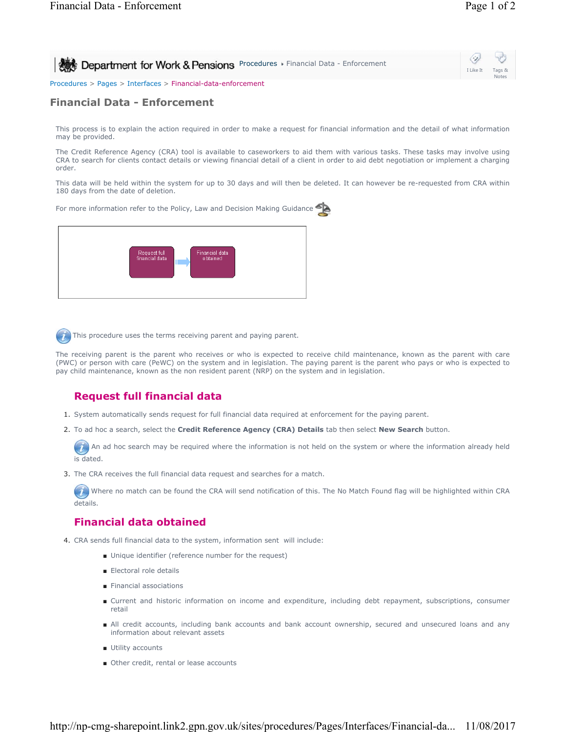| Department for Work & Pensions Procedures > Financial Data - Enforcement | $\circledcirc$<br>I Like It Tags &<br>Notes |
|--------------------------------------------------------------------------|---------------------------------------------|
| Procedures > Pages > Interfaces > Financial-data-enforcement             |                                             |

## **Financial Data - Enforcement**

This process is to explain the action required in order to make a request for financial information and the detail of what information may be provided.

The Credit Reference Agency (CRA) tool is available to caseworkers to aid them with various tasks. These tasks may involve using CRA to search for clients contact details or viewing financial detail of a client in order to aid debt negotiation or implement a charging order.

This data will be held within the system for up to 30 days and will then be deleted. It can however be re-requested from CRA within 180 days from the date of deletion.

For more information refer to the Policy, Law and Decision Making Guidance



This procedure uses the terms receiving parent and paying parent.

The receiving parent is the parent who receives or who is expected to receive child maintenance, known as the parent with care (PWC) or person with care (PeWC) on the system and in legislation. The paying parent is the parent who pays or who is expected to pay child maintenance, known as the non resident parent (NRP) on the system and in legislation.

# **Request full financial data**

- 1. System automatically sends request for full financial data required at enforcement for the paying parent.
- 2. To ad hoc a search, select the **Credit Reference Agency (CRA) Details** tab then select **New Search** button.

 $(i)$  An ad hoc search may be required where the information is not held on the system or where the information already held is dated.

3. The CRA receives the full financial data request and searches for a match.

Where no match can be found the CRA will send notification of this. The No Match Found flag will be highlighted within CRA  $\overline{\boldsymbol{J}}$ details.

### **Financial data obtained**

- 4. CRA sends full financial data to the system, information sent will include:
	- Unique identifier (reference number for the request)
	- Electoral role details
	- Financial associations
	- Current and historic information on income and expenditure, including debt repayment, subscriptions, consumer retail
	- All credit accounts, including bank accounts and bank account ownership, secured and unsecured loans and any information about relevant assets
	- Utility accounts
	- Other credit, rental or lease accounts